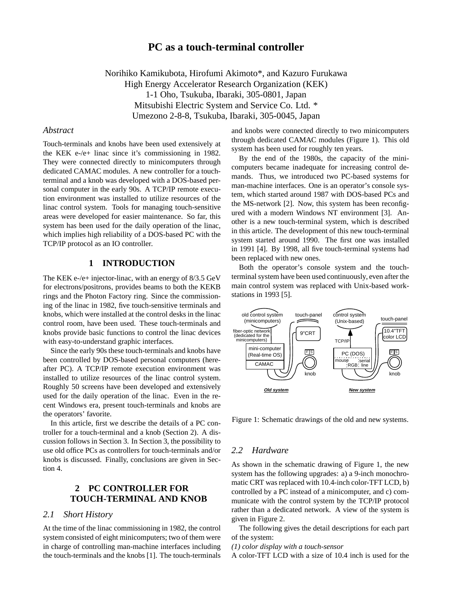# **PC as a touch-terminal controller**

Norihiko Kamikubota, Hirofumi Akimoto\*, and Kazuro Furukawa High Energy Accelerator Research Organization (KEK) 1-1 Oho, Tsukuba, Ibaraki, 305-0801, Japan Mitsubishi Electric System and Service Co. Ltd. \* Umezono 2-8-8, Tsukuba, Ibaraki, 305-0045, Japan

### *Abstract*

Touch-terminals and knobs have been used extensively at the KEK e-/e+ linac since it's commissioning in 1982. They were connected directly to minicomputers through dedicated CAMAC modules. A new controller for a touchterminal and a knob was developed with a DOS-based personal computer in the early 90s. A TCP/IP remote execution environment was installed to utilize resources of the linac control system. Tools for managing touch-sensitive areas were developed for easier maintenance. So far, this system has been used for the daily operation of the linac, which implies high reliability of a DOS-based PC with the TCP/IP protocol as an IO controller.

## **1 INTRODUCTION**

The KEK e-/e+ injector-linac, with an energy of 8/3.5 GeV for electrons/positrons, provides beams to both the KEKB rings and the Photon Factory ring. Since the commissioning of the linac in 1982, five touch-sensitive terminals and knobs, which were installed at the control desks in the linac control room, have been used. These touch-terminals and knobs provide basic functions to control the linac devices with easy-to-understand graphic interfaces.

Since the early 90s these touch-terminals and knobs have been controlled by DOS-based personal computers (hereafter PC). A TCP/IP remote execution environment was installed to utilize resources of the linac control system. Roughly 50 screens have been developed and extensively used for the daily operation of the linac. Even in the recent Windows era, present touch-terminals and knobs are the operators' favorite.

In this article, first we describe the details of a PC controller for a touch-terminal and a knob (Section 2). A discussion follows in Section 3. In Section 3, the possibility to use old office PCs as controllers for touch-terminals and/or knobs is discussed. Finally, conclusions are given in Section 4.

# **2 PC CONTROLLER FOR TOUCH-TERMINAL AND KNOB**

### *2.1 Short History*

At the time of the linac commissioning in 1982, the control system consisted of eight minicomputers; two of them were in charge of controlling man-machine interfaces including the touch-terminals and the knobs [1]. The touch-terminals and knobs were connected directly to two minicomputers through dedicated CAMAC modules (Figure 1). This old system has been used for roughly ten years.

By the end of the 1980s, the capacity of the minicomputers became inadequate for increasing control demands. Thus, we introduced two PC-based systems for man-machine interfaces. One is an operator's console system, which started around 1987 with DOS-based PCs and the MS-network [2]. Now, this system has been reconfigured with a modern Windows NT environment [3]. Another is a new touch-terminal system, which is described in this article. The development of this new touch-terminal system started around 1990. The first one was installed in 1991 [4]. By 1998, all five touch-terminal systems had been replaced with new ones.

Both the operator's console system and the touchterminal system have been used continuously, even after the main control system was replaced with Unix-based workstations in 1993 [5].



Figure 1: Schematic drawings of the old and new systems.

### *2.2 Hardware*

As shown in the schematic drawing of Figure 1, the new system has the following upgrades: a) a 9-inch monochromatic CRT was replaced with 10.4-inch color-TFT LCD, b) controlled by a PC instead of a minicomputer, and c) communicate with the control system by the TCP/IP protocol rather than a dedicated network. A view of the system is given in Figure 2.

The following gives the detail descriptions for each part of the system:

*(1) color display with a touch-sensor*

A color-TFT LCD with a size of 10.4 inch is used for the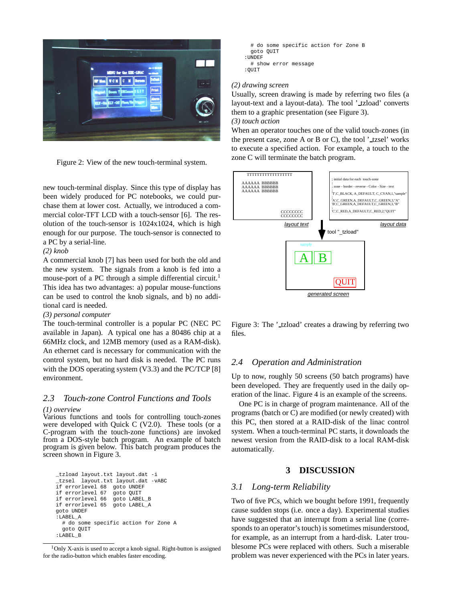

Figure 2: View of the new touch-terminal system.

new touch-terminal display. Since this type of display has been widely produced for PC notebooks, we could purchase them at lower cost. Actually, we introduced a commercial color-TFT LCD with a touch-sensor [6]. The resolution of the touch-sensor is 1024x1024, which is high enough for our purpose. The touch-sensor is connected to a PC by a serial-line.

#### *(2) knob*

A commercial knob [7] has been used for both the old and the new system. The signals from a knob is fed into a mouse-port of a PC through a simple differential circuit.<sup>1</sup> This idea has two advantages: a) popular mouse-functions can be used to control the knob signals, and b) no additional card is needed.

#### *(3) personal computer*

The touch-terminal controller is a popular PC (NEC PC available in Japan). A typical one has a 80486 chip at a 66MHz clock, and 12MB memory (used as a RAM-disk). An ethernet card is necessary for communication with the control system, but no hard disk is needed. The PC runs with the DOS operating system (V3.3) and the PC/TCP [8] environment.

### *2.3 Touch-zone Control Functions and Tools*

#### *(1) overview*

Various functions and tools for controlling touch-zones were developed with Quick C (V2.0). These tools (or a C-program with the touch-zone functions) are invoked from a DOS-style batch program. An example of batch program is given below. This batch program produces the screen shown in Figure 3.

\_tzload layout.txt layout.dat -i \_tzsel layout.txt layout.dat -vABC if errorlevel 68 goto UNDEF if errorlevel 67 goto QUIT if errorlevel 66 goto LABEL\_B if errorlevel 65 goto LABEL\_A goto UNDEF :<br>:LABEL\_A # do some specific action for Zone A goto QUIT :LABEL\_B

```
# do some specific action for Zone B
  goto QUIT
:UNDEF
  # show error message
: \cap \mathsf{I} \mathsf{I} \mathsf{T} \mathsf{T}
```
#### *(2) drawing screen*

Usually, screen drawing is made by referring two files (a layout-text and a layout-data). The tool '\_tzload' converts them to a graphic presentation (see Figure 3).

### *(3) touch action*

When an operator touches one of the valid touch-zones (in the present case, zone A or B or C), the tool  $'$ -tzsel' works to execute a specified action. For example, a touch to the zone C will terminate the batch program.



Figure 3: The ' tzload' creates a drawing by referring two files.

### *2.4 Operation and Administration*

Up to now, roughly 50 screens (50 batch programs) have been developed. They are frequently used in the daily operation of the linac. Figure 4 is an example of the screens.

One PC is in charge of program maintenance. All of the programs (batch or C) are modified (or newly created) with this PC, then stored at a RAID-disk of the linac control system. When a touch-terminal PC starts, it downloads the newest version from the RAID-disk to a local RAM-disk automatically.

### **3 DISCUSSION**

### *3.1 Long-term Reliability*

Two of five PCs, which we bought before 1991, frequently cause sudden stops (i.e. once a day). Experimental studies have suggested that an interrupt from a serial line (corresponds to an operator's touch) is sometimes misunderstood, for example, as an interrupt from a hard-disk. Later troublesome PCs were replaced with others. Such a miserable problem was never experienced with the PCs in later years.

 $1$ Only X-axis is used to accept a knob signal. Right-button is assigned for the radio-button which enables faster encoding.